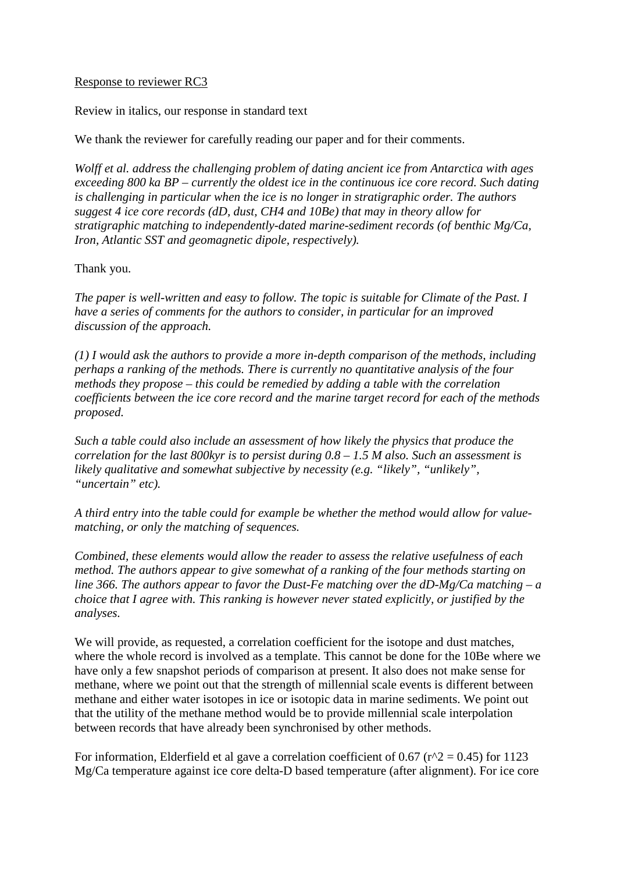### Response to reviewer RC3

Review in italics, our response in standard text

We thank the reviewer for carefully reading our paper and for their comments.

*Wolff et al. address the challenging problem of dating ancient ice from Antarctica with ages exceeding 800 ka BP – currently the oldest ice in the continuous ice core record. Such dating is challenging in particular when the ice is no longer in stratigraphic order. The authors suggest 4 ice core records (dD, dust, CH4 and 10Be) that may in theory allow for stratigraphic matching to independently-dated marine-sediment records (of benthic Mg/Ca, Iron, Atlantic SST and geomagnetic dipole, respectively).*

#### Thank you.

*The paper is well-written and easy to follow. The topic is suitable for Climate of the Past. I have a series of comments for the authors to consider, in particular for an improved discussion of the approach.*

*(1) I would ask the authors to provide a more in-depth comparison of the methods, including perhaps a ranking of the methods. There is currently no quantitative analysis of the four methods they propose – this could be remedied by adding a table with the correlation coefficients between the ice core record and the marine target record for each of the methods proposed.*

*Such a table could also include an assessment of how likely the physics that produce the correlation for the last 800kyr is to persist during 0.8 – 1.5 M also. Such an assessment is likely qualitative and somewhat subjective by necessity (e.g. "likely", "unlikely", "uncertain" etc).*

*A third entry into the table could for example be whether the method would allow for valuematching, or only the matching of sequences.*

*Combined, these elements would allow the reader to assess the relative usefulness of each method. The authors appear to give somewhat of a ranking of the four methods starting on line 366. The authors appear to favor the Dust-Fe matching over the dD-Mg/Ca matching – a choice that I agree with. This ranking is however never stated explicitly, or justified by the analyses.* 

We will provide, as requested, a correlation coefficient for the isotope and dust matches, where the whole record is involved as a template. This cannot be done for the 10Be where we have only a few snapshot periods of comparison at present. It also does not make sense for methane, where we point out that the strength of millennial scale events is different between methane and either water isotopes in ice or isotopic data in marine sediments. We point out that the utility of the methane method would be to provide millennial scale interpolation between records that have already been synchronised by other methods.

For information, Elderfield et al gave a correlation coefficient of 0.67 ( $r^2$  = 0.45) for 1123 Mg/Ca temperature against ice core delta-D based temperature (after alignment). For ice core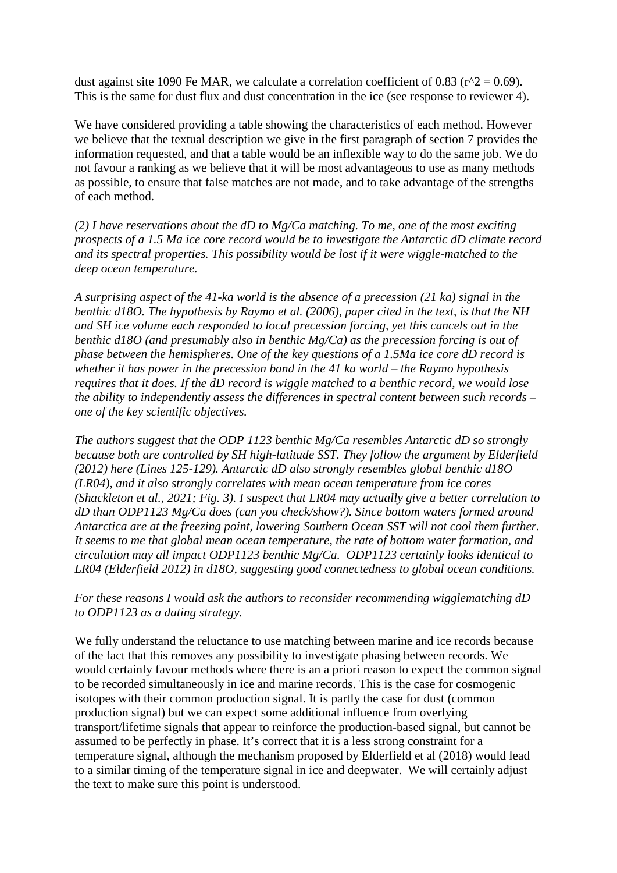dust against site 1090 Fe MAR, we calculate a correlation coefficient of 0.83 ( $r^2 = 0.69$ ). This is the same for dust flux and dust concentration in the ice (see response to reviewer 4).

We have considered providing a table showing the characteristics of each method. However we believe that the textual description we give in the first paragraph of section 7 provides the information requested, and that a table would be an inflexible way to do the same job. We do not favour a ranking as we believe that it will be most advantageous to use as many methods as possible, to ensure that false matches are not made, and to take advantage of the strengths of each method.

*(2) I have reservations about the dD to Mg/Ca matching. To me, one of the most exciting prospects of a 1.5 Ma ice core record would be to investigate the Antarctic dD climate record and its spectral properties. This possibility would be lost if it were wiggle-matched to the deep ocean temperature.*

*A surprising aspect of the 41-ka world is the absence of a precession (21 ka) signal in the benthic d18O. The hypothesis by Raymo et al. (2006), paper cited in the text, is that the NH and SH ice volume each responded to local precession forcing, yet this cancels out in the benthic d18O (and presumably also in benthic Mg/Ca) as the precession forcing is out of phase between the hemispheres. One of the key questions of a 1.5Ma ice core dD record is whether it has power in the precession band in the 41 ka world – the Raymo hypothesis requires that it does. If the dD record is wiggle matched to a benthic record, we would lose the ability to independently assess the differences in spectral content between such records – one of the key scientific objectives.*

*The authors suggest that the ODP 1123 benthic Mg/Ca resembles Antarctic dD so strongly because both are controlled by SH high-latitude SST. They follow the argument by Elderfield (2012) here (Lines 125-129). Antarctic dD also strongly resembles global benthic d18O (LR04), and it also strongly correlates with mean ocean temperature from ice cores (Shackleton et al., 2021; Fig. 3). I suspect that LR04 may actually give a better correlation to dD than ODP1123 Mg/Ca does (can you check/show?). Since bottom waters formed around Antarctica are at the freezing point, lowering Southern Ocean SST will not cool them further. It seems to me that global mean ocean temperature, the rate of bottom water formation, and circulation may all impact ODP1123 benthic Mg/Ca. ODP1123 certainly looks identical to LR04 (Elderfield 2012) in d18O, suggesting good connectedness to global ocean conditions.*

# *For these reasons I would ask the authors to reconsider recommending wigglematching dD to ODP1123 as a dating strategy.*

We fully understand the reluctance to use matching between marine and ice records because of the fact that this removes any possibility to investigate phasing between records. We would certainly favour methods where there is an a priori reason to expect the common signal to be recorded simultaneously in ice and marine records. This is the case for cosmogenic isotopes with their common production signal. It is partly the case for dust (common production signal) but we can expect some additional influence from overlying transport/lifetime signals that appear to reinforce the production-based signal, but cannot be assumed to be perfectly in phase. It's correct that it is a less strong constraint for a temperature signal, although the mechanism proposed by Elderfield et al (2018) would lead to a similar timing of the temperature signal in ice and deepwater. We will certainly adjust the text to make sure this point is understood.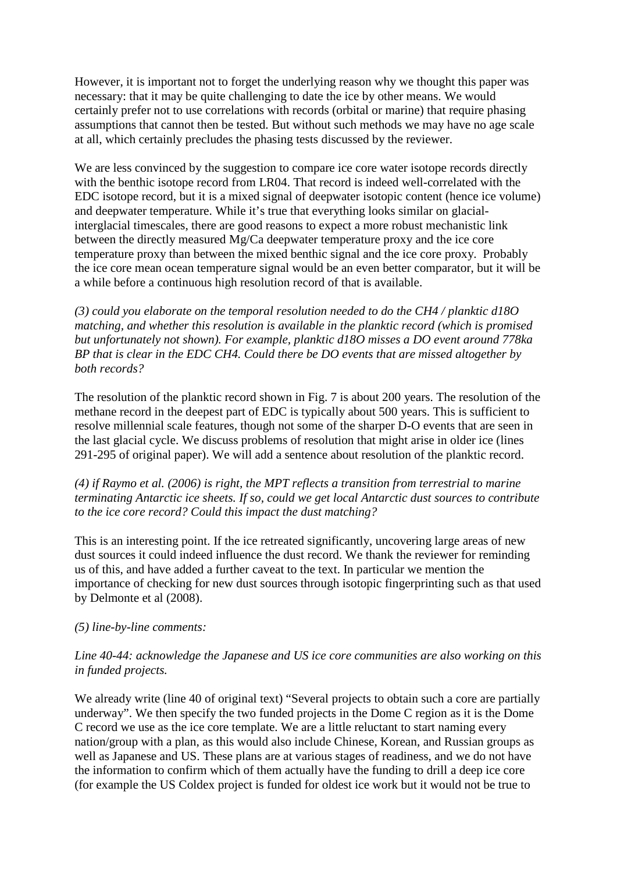However, it is important not to forget the underlying reason why we thought this paper was necessary: that it may be quite challenging to date the ice by other means. We would certainly prefer not to use correlations with records (orbital or marine) that require phasing assumptions that cannot then be tested. But without such methods we may have no age scale at all, which certainly precludes the phasing tests discussed by the reviewer.

We are less convinced by the suggestion to compare ice core water isotope records directly with the benthic isotope record from LR04. That record is indeed well-correlated with the EDC isotope record, but it is a mixed signal of deepwater isotopic content (hence ice volume) and deepwater temperature. While it's true that everything looks similar on glacialinterglacial timescales, there are good reasons to expect a more robust mechanistic link between the directly measured Mg/Ca deepwater temperature proxy and the ice core temperature proxy than between the mixed benthic signal and the ice core proxy. Probably the ice core mean ocean temperature signal would be an even better comparator, but it will be a while before a continuous high resolution record of that is available.

*(3) could you elaborate on the temporal resolution needed to do the CH4 / planktic d18O matching, and whether this resolution is available in the planktic record (which is promised but unfortunately not shown). For example, planktic d18O misses a DO event around 778ka BP that is clear in the EDC CH4. Could there be DO events that are missed altogether by both records?*

The resolution of the planktic record shown in Fig. 7 is about 200 years. The resolution of the methane record in the deepest part of EDC is typically about 500 years. This is sufficient to resolve millennial scale features, though not some of the sharper D-O events that are seen in the last glacial cycle. We discuss problems of resolution that might arise in older ice (lines 291-295 of original paper). We will add a sentence about resolution of the planktic record.

*(4) if Raymo et al. (2006) is right, the MPT reflects a transition from terrestrial to marine terminating Antarctic ice sheets. If so, could we get local Antarctic dust sources to contribute to the ice core record? Could this impact the dust matching?* 

This is an interesting point. If the ice retreated significantly, uncovering large areas of new dust sources it could indeed influence the dust record. We thank the reviewer for reminding us of this, and have added a further caveat to the text. In particular we mention the importance of checking for new dust sources through isotopic fingerprinting such as that used by Delmonte et al (2008).

### *(5) line-by-line comments:*

# *Line 40-44: acknowledge the Japanese and US ice core communities are also working on this in funded projects.*

We already write (line 40 of original text) "Several projects to obtain such a core are partially underway". We then specify the two funded projects in the Dome C region as it is the Dome C record we use as the ice core template. We are a little reluctant to start naming every nation/group with a plan, as this would also include Chinese, Korean, and Russian groups as well as Japanese and US. These plans are at various stages of readiness, and we do not have the information to confirm which of them actually have the funding to drill a deep ice core (for example the US Coldex project is funded for oldest ice work but it would not be true to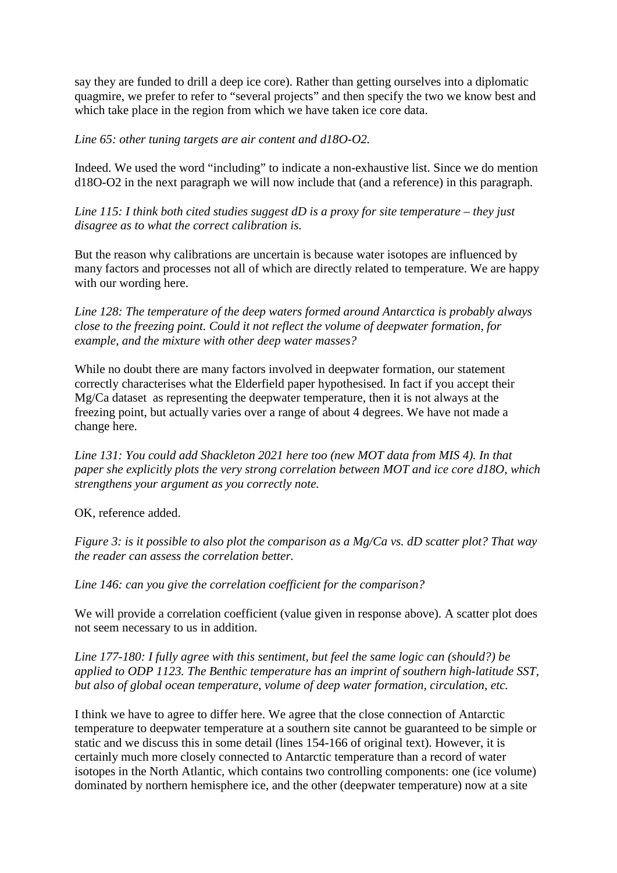say they are funded to drill a deep ice core). Rather than getting ourselves into a diplomatic quagmire, we prefer to refer to "several projects" and then specify the two we know best and which take place in the region from which we have taken ice core data.

*Line 65: other tuning targets are air content and d18O-O2.*

Indeed. We used the word "including" to indicate a non-exhaustive list. Since we do mention d18O-O2 in the next paragraph we will now include that (and a reference) in this paragraph.

*Line 115: I think both cited studies suggest dD is a proxy for site temperature – they just disagree as to what the correct calibration is.*

But the reason why calibrations are uncertain is because water isotopes are influenced by many factors and processes not all of which are directly related to temperature. We are happy with our wording here.

*Line 128: The temperature of the deep waters formed around Antarctica is probably always close to the freezing point. Could it not reflect the volume of deepwater formation, for example, and the mixture with other deep water masses?*

While no doubt there are many factors involved in deepwater formation, our statement correctly characterises what the Elderfield paper hypothesised. In fact if you accept their Mg/Ca dataset as representing the deepwater temperature, then it is not always at the freezing point, but actually varies over a range of about 4 degrees. We have not made a change here.

*Line 131: You could add Shackleton 2021 here too (new MOT data from MIS 4). In that paper she explicitly plots the very strong correlation between MOT and ice core d18O, which strengthens your argument as you correctly note.*

OK, reference added.

*Figure 3: is it possible to also plot the comparison as a Mg/Ca vs. dD scatter plot? That way the reader can assess the correlation better.*

*Line 146: can you give the correlation coefficient for the comparison?*

We will provide a correlation coefficient (value given in response above). A scatter plot does not seem necessary to us in addition.

*Line 177-180: I fully agree with this sentiment, but feel the same logic can (should?) be applied to ODP 1123. The Benthic temperature has an imprint of southern high-latitude SST, but also of global ocean temperature, volume of deep water formation, circulation, etc.*

I think we have to agree to differ here. We agree that the close connection of Antarctic temperature to deepwater temperature at a southern site cannot be guaranteed to be simple or static and we discuss this in some detail (lines 154-166 of original text). However, it is certainly much more closely connected to Antarctic temperature than a record of water isotopes in the North Atlantic, which contains two controlling components: one (ice volume) dominated by northern hemisphere ice, and the other (deepwater temperature) now at a site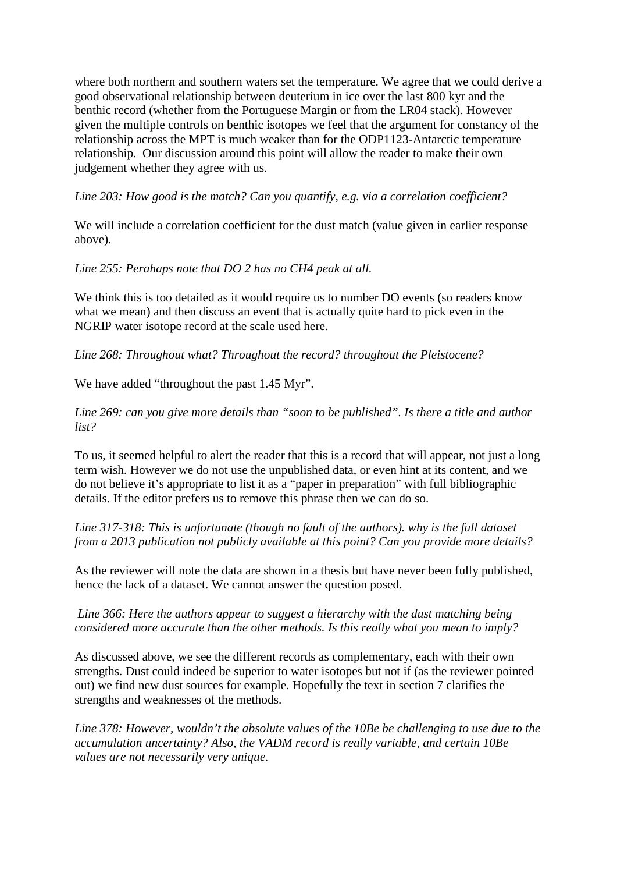where both northern and southern waters set the temperature. We agree that we could derive a good observational relationship between deuterium in ice over the last 800 kyr and the benthic record (whether from the Portuguese Margin or from the LR04 stack). However given the multiple controls on benthic isotopes we feel that the argument for constancy of the relationship across the MPT is much weaker than for the ODP1123-Antarctic temperature relationship. Our discussion around this point will allow the reader to make their own judgement whether they agree with us.

*Line 203: How good is the match? Can you quantify, e.g. via a correlation coefficient?*

We will include a correlation coefficient for the dust match (value given in earlier response above).

*Line 255: Perahaps note that DO 2 has no CH4 peak at all.*

We think this is too detailed as it would require us to number DO events (so readers know what we mean) and then discuss an event that is actually quite hard to pick even in the NGRIP water isotope record at the scale used here.

*Line 268: Throughout what? Throughout the record? throughout the Pleistocene?*

We have added "throughout the past 1.45 Myr".

*Line 269: can you give more details than "soon to be published". Is there a title and author list?*

To us, it seemed helpful to alert the reader that this is a record that will appear, not just a long term wish. However we do not use the unpublished data, or even hint at its content, and we do not believe it's appropriate to list it as a "paper in preparation" with full bibliographic details. If the editor prefers us to remove this phrase then we can do so.

*Line 317-318: This is unfortunate (though no fault of the authors). why is the full dataset from a 2013 publication not publicly available at this point? Can you provide more details?*

As the reviewer will note the data are shown in a thesis but have never been fully published, hence the lack of a dataset. We cannot answer the question posed.

*Line 366: Here the authors appear to suggest a hierarchy with the dust matching being considered more accurate than the other methods. Is this really what you mean to imply?*

As discussed above, we see the different records as complementary, each with their own strengths. Dust could indeed be superior to water isotopes but not if (as the reviewer pointed out) we find new dust sources for example. Hopefully the text in section 7 clarifies the strengths and weaknesses of the methods.

*Line 378: However, wouldn't the absolute values of the 10Be be challenging to use due to the accumulation uncertainty? Also, the VADM record is really variable, and certain 10Be values are not necessarily very unique.*